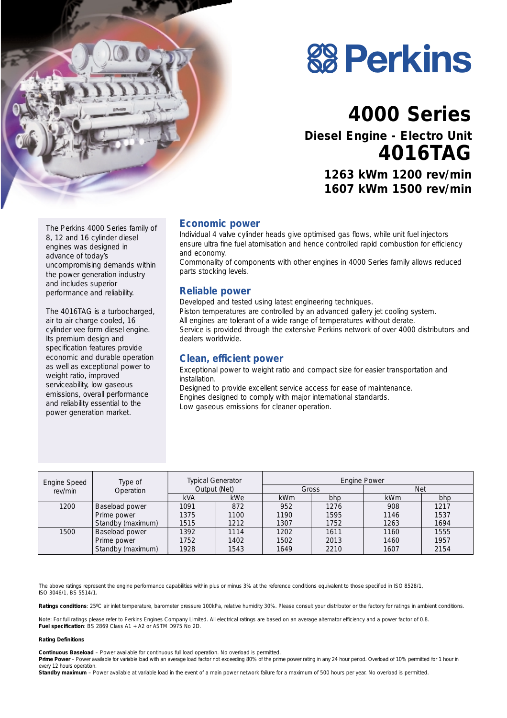

# **88 Perkins**

# **4000 Series**

**Diesel Engine - Electro Unit 4016TAG**

> **1263 kWm 1200 rev/min 1607 kWm 1500 rev/min**

The Perkins 4000 Series family of 8, 12 and 16 cylinder diesel engines was designed in advance of today's uncompromising demands within the power generation industry and includes superior performance and reliability.

The 4016TAG is a turbocharged, air to air charge cooled, 16 cylinder vee form diesel engine. Its premium design and specification features provide economic and durable operation as well as exceptional power to weight ratio, improved serviceability, low gaseous emissions, overall performance and reliability essential to the power generation market.

#### **Economic power**

Individual 4 valve cylinder heads give optimised gas flows, while unit fuel injectors ensure ultra fine fuel atomisation and hence controlled rapid combustion for efficiency and economy.

Commonality of components with other engines in 4000 Series family allows reduced parts stocking levels.

#### **Reliable power**

Developed and tested using latest engineering techniques. Piston temperatures are controlled by an advanced gallery jet cooling system. All engines are tolerant of a wide range of temperatures without derate. Service is provided through the extensive Perkins network of over 4000 distributors and dealers worldwide.

#### **Clean, efficient power**

Exceptional power to weight ratio and compact size for easier transportation and installation.

Designed to provide excellent service access for ease of maintenance. Engines designed to comply with major international standards. Low gaseous emissions for cleaner operation.

| Engine Speed | Type of<br>Operation | <b>Typical Generator</b><br>Output (Net) |            | <b>Engine Power</b> |      |            |      |
|--------------|----------------------|------------------------------------------|------------|---------------------|------|------------|------|
| rev/min      |                      |                                          |            | Gross               |      | <b>Net</b> |      |
|              |                      | <b>kVA</b>                               | <b>kWe</b> | <b>kWm</b>          | bhp  | kWm        | bhp  |
| 1200         | Baseload power       | 1091                                     | 872        | 952                 | 1276 | 908        | 1217 |
|              | Prime power          | 1375                                     | 1100       | 1190                | 1595 | 1146       | 1537 |
|              | Standby (maximum)    | 1515                                     | 1212       | 1307                | 1752 | 1263       | 1694 |
| 1500         | Baseload power       | 1392                                     | 1114       | 1202                | 1611 | 1160       | 1555 |
|              | Prime power          | 1752                                     | 1402       | 1502                | 2013 | 1460       | 1957 |
|              | Standby (maximum)    | 1928                                     | 1543       | 1649                | 2210 | 1607       | 2154 |

The above ratings represent the engine performance capabilities within plus or minus 3% at the reference conditions equivalent to those specified in ISO 8528/1, ISO 3046/1, BS 5514/1.

Ratings conditions: 25°C air inlet temperature, barometer pressure 100kPa, relative humidity 30%. Please consult your distributor or the factory for ratings in ambient conditions.

*Note:* For full ratings please refer to Perkins Engines Company Limited. All electrical ratings are based on an average alternator efficiency and a power factor of 0.8. **Fuel specification**: BS 2869 Class A1 + A2 or ASTM D975 No 2D.

#### **Rating Definitions**

**Continuous Baseload** – Power available for continuous full load operation. No overload is permitted.

Prime Power – Power available for variable load with an average load factor not exceeding 80% of the prime power rating in any 24 hour period. Overload of 10% permitted for 1 hour in every 12 hours operation.

Standby maximum - Power available at variable load in the event of a main power network failure for a maximum of 500 hours per year. No overload is permitted